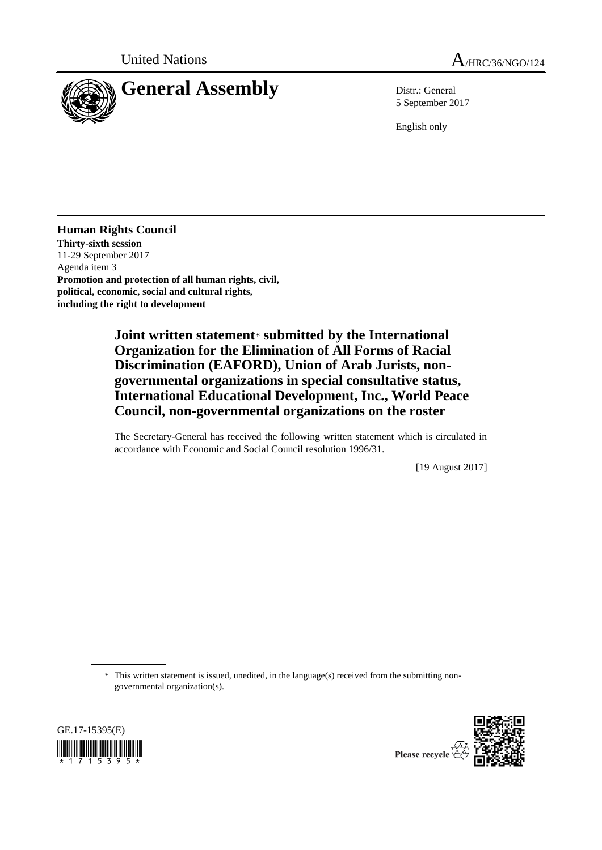

5 September 2017

English only

**Human Rights Council Thirty-sixth session** 11-29 September 2017 Agenda item 3 **Promotion and protection of all human rights, civil, political, economic, social and cultural rights, including the right to development**

> **Joint written statement**\* **submitted by the International Organization for the Elimination of All Forms of Racial Discrimination (EAFORD), Union of Arab Jurists, nongovernmental organizations in special consultative status, International Educational Development, Inc., World Peace Council, non-governmental organizations on the roster**

The Secretary-General has received the following written statement which is circulated in accordance with Economic and Social Council resolution 1996/31.

[19 August 2017]

\* This written statement is issued, unedited, in the language(s) received from the submitting nongovernmental organization(s).



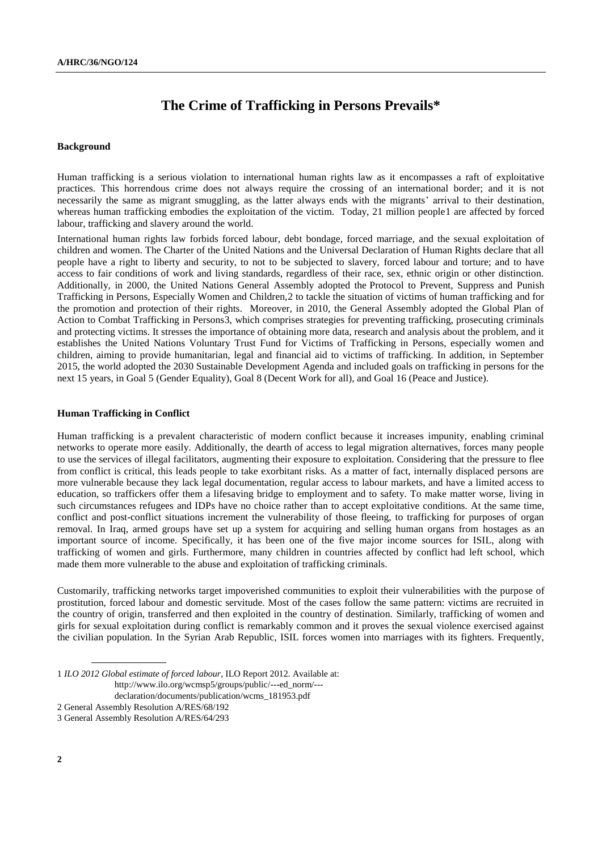## **The Crime of Trafficking in Persons Prevails\***

## **Background**

Human trafficking is a serious violation to international human rights law as it encompasses a raft of exploitative practices. This horrendous crime does not always require the crossing of an international border; and it is not necessarily the same as migrant smuggling, as the latter always ends with the migrants' arrival to their destination, whereas human trafficking embodies the exploitation of the victim. Today, 21 million people1 are affected by forced labour, trafficking and slavery around the world.

International human rights law forbids forced labour, debt bondage, forced marriage, and the sexual exploitation of children and women. The Charter of the United Nations and the Universal Declaration of Human Rights declare that all people have a right to liberty and security, to not to be subjected to slavery, forced labour and torture; and to have access to fair conditions of work and living standards, regardless of their race, sex, ethnic origin or other distinction. Additionally, in 2000, the United Nations General Assembly adopted the Protocol to Prevent, Suppress and Punish Trafficking in Persons, Especially Women and Children,2 to tackle the situation of victims of human trafficking and for the promotion and protection of their rights. Moreover, in 2010, the General Assembly adopted the Global Plan of Action to Combat Trafficking in Persons3, which comprises strategies for preventing trafficking, prosecuting criminals and protecting victims. It stresses the importance of obtaining more data, research and analysis about the problem, and it establishes the United Nations Voluntary Trust Fund for Victims of Trafficking in Persons, especially women and children, aiming to provide humanitarian, legal and financial aid to victims of trafficking. In addition, in September 2015, the world adopted the 2030 Sustainable Development Agenda and included goals on trafficking in persons for the next 15 years, in Goal 5 (Gender Equality), Goal 8 (Decent Work for all), and Goal 16 (Peace and Justice).

## **Human Trafficking in Conflict**

Human trafficking is a prevalent characteristic of modern conflict because it increases impunity, enabling criminal networks to operate more easily. Additionally, the dearth of access to legal migration alternatives, forces many people to use the services of illegal facilitators, augmenting their exposure to exploitation. Considering that the pressure to flee from conflict is critical, this leads people to take exorbitant risks. As a matter of fact, internally displaced persons are more vulnerable because they lack legal documentation, regular access to labour markets, and have a limited access to education, so traffickers offer them a lifesaving bridge to employment and to safety. To make matter worse, living in such circumstances refugees and IDPs have no choice rather than to accept exploitative conditions. At the same time, conflict and post-conflict situations increment the vulnerability of those fleeing, to trafficking for purposes of organ removal. In Iraq, armed groups have set up a system for acquiring and selling human organs from hostages as an important source of income. Specifically, it has been one of the five major income sources for ISIL, along with trafficking of women and girls. Furthermore, many children in countries affected by conflict [had left school,](http://www.un.org/sustainabledevelopment/peace-justice/) which made them more vulnerable to the abuse and exploitation of trafficking criminals.

Customarily, trafficking networks target impoverished communities to exploit their vulnerabilities with the purpose of prostitution, forced labour and domestic servitude. Most of the cases follow the same pattern: victims are recruited in the country of origin, transferred and then exploited in the country of destination. Similarly, trafficking of women and girls for sexual exploitation during conflict is remarkably common and it proves the sexual violence exercised against the civilian population. In the Syrian Arab Republic, ISIL forces women into marriages with its fighters. Frequently,

<sup>1</sup> *ILO 2012 Global estimate of forced labour*, ILO Report 2012. Available at:

http://www.ilo.org/wcmsp5/groups/public/---ed\_norm/---

declaration/documents/publication/wcms\_181953.pdf

<sup>2</sup> General Assembly Resolution A/RES/68/192

<sup>3</sup> General Assembly Resolution A/RES/64/293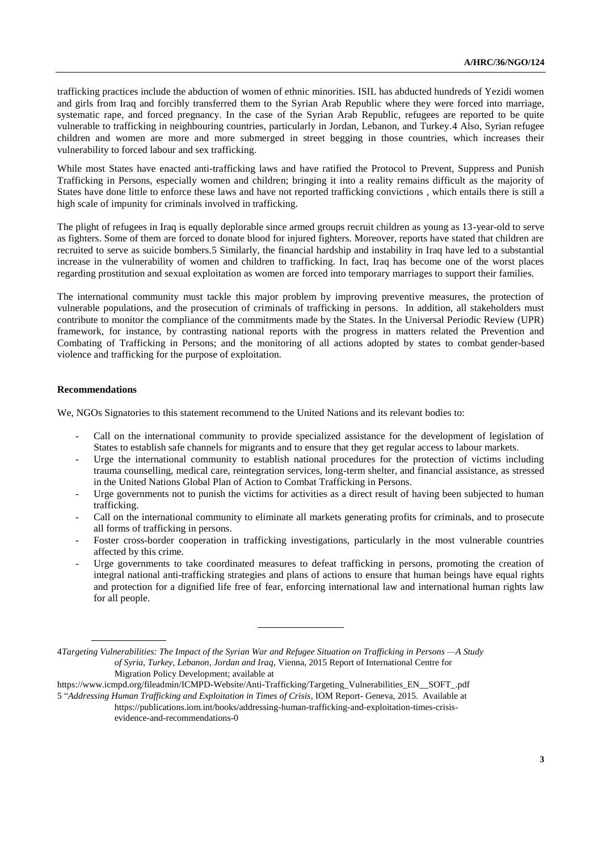trafficking practices include the abduction of women of ethnic minorities. ISIL has abducted hundreds of Yezidi women and girls from Iraq and forcibly transferred them to the Syrian Arab Republic where they were forced into marriage, systematic rape, and forced pregnancy. In the case of the Syrian Arab Republic, refugees are reported to be quite vulnerable to trafficking in neighbouring countries, particularly in Jordan, Lebanon, and Turkey.4 Also, Syrian refugee children and women are more and more submerged in street begging in those countries, which increases their vulnerability to forced labour and sex trafficking.

While most States have enacted anti-trafficking laws and have ratified the Protocol to Prevent, Suppress and Punish Trafficking in Persons, especially women and children; bringing it into a reality remains difficult as the majority of States have done little to enforce these laws and have not reported trafficking convictions , which entails there is still a high scale of impunity for criminals involved in trafficking.

The plight of refugees in Iraq is equally deplorable since armed groups recruit children as young as 13-year-old to serve as fighters. Some of them are forced to donate blood for injured fighters. Moreover, reports have stated that children are recruited to serve as suicide bombers.5 Similarly, the financial hardship and instability in Iraq have led to a substantial increase in the vulnerability of women and children to trafficking. In fact, Iraq has become one of the worst places regarding prostitution and sexual exploitation as women are forced into temporary marriages to support their families.

The international community must tackle this major problem by improving preventive measures, the protection of vulnerable populations, and the prosecution of criminals of trafficking in persons. In addition, all stakeholders must contribute to monitor the compliance of the commitments made by the States. In the Universal Periodic Review (UPR) framework, for instance, by contrasting national reports with the progress in matters related the Prevention and Combating of Trafficking in Persons; and the monitoring of all actions adopted by states to combat gender-based violence and trafficking for the purpose of exploitation.

## **Recommendations**

We, NGOs Signatories to this statement recommend to the United Nations and its relevant bodies to:

- Call on the international community to provide specialized assistance for the development of legislation of States to establish safe channels for migrants and to ensure that they get regular access to labour markets.
- Urge the international community to establish national procedures for the protection of victims including trauma counselling, medical care, reintegration services, long-term shelter, and financial assistance, as stressed in the United Nations Global Plan of Action to Combat Trafficking in Persons.
- Urge governments not to punish the victims for activities as a direct result of having been subjected to human trafficking.
- Call on the international community to eliminate all markets generating profits for criminals, and to prosecute all forms of trafficking in persons.
- Foster cross-border cooperation in trafficking investigations, particularly in the most vulnerable countries affected by this crime.
- Urge governments to take coordinated measures to defeat trafficking in persons, promoting the creation of integral national anti-trafficking strategies and plans of actions to ensure that human beings have equal rights and protection for a dignified life free of fear, enforcing international law and international human rights law for all people.

https://www.icmpd.org/fileadmin/ICMPD-Website/Anti-Trafficking/Targeting\_Vulnerabilities\_EN\_\_SOFT\_.pdf

<sup>4</sup>*Targeting Vulnerabilities: The Impact of the Syrian War and Refugee Situation on Trafficking in Persons —A Study of Syria, Turkey, Lebanon, Jordan and Iraq*, Vienna, 2015 Report of International Centre for Migration Policy Development; available at

<sup>5</sup> "*Addressing Human Trafficking and Exploitation in Times of Crisis*, IOM Report- Geneva, 2015. Available at https://publications.iom.int/books/addressing-human-trafficking-and-exploitation-times-crisisevidence-and-recommendations-0